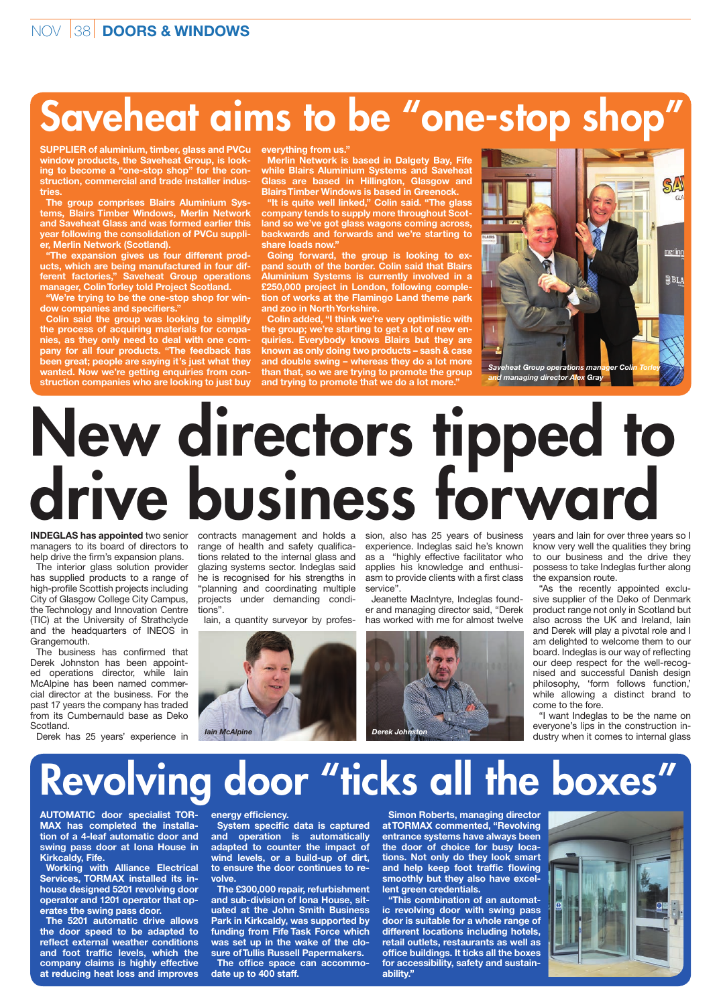## Saveheat aims to be "one-stop shop"

**SUPPLIER of aluminium, timber, glass and PVCu window products, the Saveheat Group, is looking to become a "one-stop shop" for the construction, commercial and trade installer industries.**

**The group comprises Blairs Aluminium Systems, Blairs Timber Windows, Merlin Network and Saveheat Glass and was formed earlier this year following the consolidation of PVCu supplier, Merlin Network (Scotland).**

**"The expansion gives us four different products, which are being manufactured in four different factories," Saveheat Group operations manager, Colin Torley told Project Scotland.**

**"We're trying to be the one-stop shop for window companies and specifiers."**

**Colin said the group was looking to simplify the process of acquiring materials for companies, as they only need to deal with one company for all four products. "The feedback has been great; people are saying it's just what they wanted. Now we're getting enquiries from construction companies who are looking to just buy** 

**everything from us."**

**Merlin Network is based in Dalgety Bay, Fife while Blairs Aluminium Systems and Saveheat Glass are based in Hillington, Glasgow and Blairs Timber Windows is based in Greenock.**

**"It is quite well linked," Colin said. "The glass company tends to supply more throughout Scotland so we've got glass wagons coming across, backwards and forwards and we're starting to**  share loads now.

**Going forward, the group is looking to expand south of the border. Colin said that Blairs Aluminium Systems is currently involved in a £250,000 project in London, following completion of works at the Flamingo Land theme park and zoo in North Yorkshire.**

**Colin added, "I think we're very optimistic with the group; we're starting to get a lot of new enquiries. Everybody knows Blairs but they are known as only doing two products – sash & case and double swing – whereas they do a lot more than that, so we are trying to promote the group and trying to promote that we do a lot more."**



## New directors tipped to drive business forward

**INDEGLAS has appointed** two senior managers to its board of directors to help drive the firm's expansion plans.

The interior glass solution provider has supplied products to a range of high-profile Scottish projects including City of Glasgow College City Campus, the Technology and Innovation Centre (TIC) at the University of Strathclyde and the headquarters of INEOS in Grangemouth.

The business has confirmed that Derek Johnston has been appointed operations director, while Iain McAlpine has been named commercial director at the business. For the past 17 years the company has traded from its Cumbernauld base as Deko Scotland.

Derek has 25 years' experience in

contracts management and holds a sion, also has 25 years of business range of health and safety qualifications related to the internal glass and glazing systems sector. Indeglas said he is recognised for his strengths in "planning and coordinating multiple projects under demanding conditions".

Iain, a quantity surveyor by profes-



experience. Indeglas said he's known as a "highly effective facilitator who applies his knowledge and enthusiasm to provide clients with a first class service".

Jeanette MacIntyre, Indeglas founder and managing director said, "Derek has worked with me for almost twelve



years and Iain for over three years so I know very well the qualities they bring to our business and the drive they possess to take Indeglas further along the expansion route.

"As the recently appointed exclusive supplier of the Deko of Denmark product range not only in Scotland but also across the UK and Ireland, Iain and Derek will play a pivotal role and I am delighted to welcome them to our board. Indeglas is our way of reflecting our deep respect for the well-recognised and successful Danish design philosophy, 'form follows function,' while allowing a distinct brand to come to the fore.

"I want Indeglas to be the name on everyone's lips in the construction industry when it comes to internal glass

## Revolving door "ticks all the boxes"

**AUTOMATIC door specialist TOR-MAX has completed the installation of a 4-leaf automatic door and swing pass door at Iona House in Kirkcaldy, Fife.**

**Working with Alliance Electrical Services, TORMAX installed its inhouse designed 5201 revolving door operator and 1201 operator that operates the swing pass door.**

**The 5201 automatic drive allows the door speed to be adapted to reflect external weather conditions and foot traffic levels, which the company claims is highly effective at reducing heat loss and improves** 

## **energy efficiency.**

**System specific data is captured and operation is automatically adapted to counter the impact of wind levels, or a build-up of dirt, to ensure the door continues to revolve.**

**The £300,000 repair, refurbishment and sub-division of Iona House, situated at the John Smith Business Park in Kirkcaldy, was supported by funding from Fife Task Force which was set up in the wake of the closure of Tullis Russell Papermakers. The office space can accommodate up to 400 staff.**

**Simon Roberts, managing director at TORMAX commented, "Revolving entrance systems have always been the door of choice for busy locations. Not only do they look smart and help keep foot traffic flowing smoothly but they also have excellent green credentials.**

**"This combination of an automatic revolving door with swing pass door is suitable for a whole range of different locations including hotels, retail outlets, restaurants as well as office buildings. It ticks all the boxes for accessibility, safety and sustainability."**